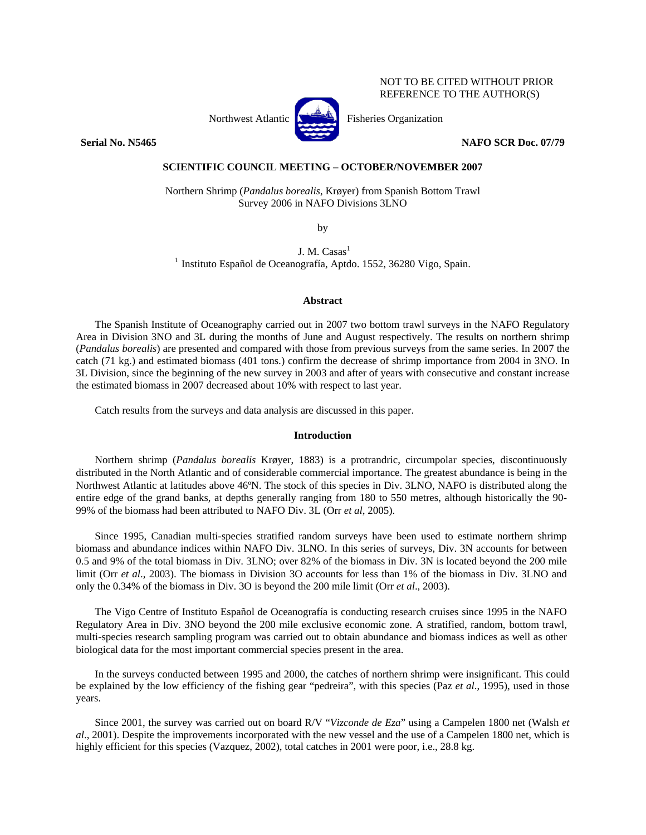# NOT TO BE CITED WITHOUT PRIOR REFERENCE TO THE AUTHOR(S)



Northwest Atlantic **Northus** Fisheries Organization

**Serial No. N5465** NAFO SCR Doc. 07/79

# **SCIENTIFIC COUNCIL MEETING – OCTOBER/NOVEMBER 2007**

Northern Shrimp (*Pandalus borealis*, Krøyer) from Spanish Bottom Trawl Survey 2006 in NAFO Divisions 3LNO

by

J. M.  $\text{Casa}^1$  $<sup>1</sup>$  Instituto Español de Oceanografía, Aptdo. 1552, 36280 Vigo, Spain.</sup>

## **Abstract**

The Spanish Institute of Oceanography carried out in 2007 two bottom trawl surveys in the NAFO Regulatory Area in Division 3NO and 3L during the months of June and August respectively. The results on northern shrimp (*Pandalus borealis*) are presented and compared with those from previous surveys from the same series. In 2007 the catch (71 kg.) and estimated biomass (401 tons.) confirm the decrease of shrimp importance from 2004 in 3NO. In 3L Division, since the beginning of the new survey in 2003 and after of years with consecutive and constant increase the estimated biomass in 2007 decreased about 10% with respect to last year.

Catch results from the surveys and data analysis are discussed in this paper.

## **Introduction**

Northern shrimp (*Pandalus borealis* Krøyer, 1883) is a protrandric, circumpolar species, discontinuously distributed in the North Atlantic and of considerable commercial importance. The greatest abundance is being in the Northwest Atlantic at latitudes above 46ºN. The stock of this species in Div. 3LNO, NAFO is distributed along the entire edge of the grand banks, at depths generally ranging from 180 to 550 metres, although historically the 90- 99% of the biomass had been attributed to NAFO Div. 3L (Orr *et al*, 2005).

Since 1995, Canadian multi-species stratified random surveys have been used to estimate northern shrimp biomass and abundance indices within NAFO Div. 3LNO. In this series of surveys, Div. 3N accounts for between 0.5 and 9% of the total biomass in Div. 3LNO; over 82% of the biomass in Div. 3N is located beyond the 200 mile limit (Orr *et al*., 2003). The biomass in Division 3O accounts for less than 1% of the biomass in Div. 3LNO and only the 0.34% of the biomass in Div. 3O is beyond the 200 mile limit (Orr *et al*., 2003).

The Vigo Centre of Instituto Español de Oceanografía is conducting research cruises since 1995 in the NAFO Regulatory Area in Div. 3NO beyond the 200 mile exclusive economic zone. A stratified, random, bottom trawl, multi-species research sampling program was carried out to obtain abundance and biomass indices as well as other biological data for the most important commercial species present in the area.

In the surveys conducted between 1995 and 2000, the catches of northern shrimp were insignificant. This could be explained by the low efficiency of the fishing gear "pedreira", with this species (Paz *et al*., 1995), used in those years.

Since 2001, the survey was carried out on board R/V "*Vizconde de Eza*" using a Campelen 1800 net (Walsh *et al*., 2001). Despite the improvements incorporated with the new vessel and the use of a Campelen 1800 net, which is highly efficient for this species (Vazquez, 2002), total catches in 2001 were poor, i.e., 28.8 kg.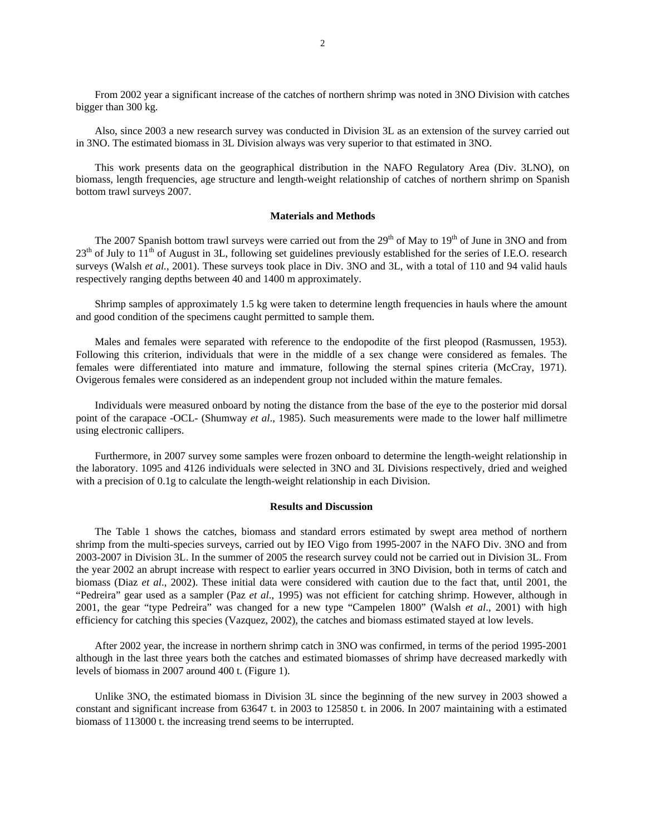From 2002 year a significant increase of the catches of northern shrimp was noted in 3NO Division with catches bigger than 300 kg.

Also, since 2003 a new research survey was conducted in Division 3L as an extension of the survey carried out in 3NO. The estimated biomass in 3L Division always was very superior to that estimated in 3NO.

This work presents data on the geographical distribution in the NAFO Regulatory Area (Div. 3LNO), on biomass, length frequencies, age structure and length-weight relationship of catches of northern shrimp on Spanish bottom trawl surveys 2007.

### **Materials and Methods**

The 2007 Spanish bottom trawl surveys were carried out from the 29<sup>th</sup> of May to 19<sup>th</sup> of June in 3NO and from  $23<sup>th</sup>$  of July to  $11<sup>th</sup>$  of August in 3L, following set guidelines previously established for the series of I.E.O. research surveys (Walsh *et al.*, 2001). These surveys took place in Div. 3NO and 3L, with a total of 110 and 94 valid hauls respectively ranging depths between 40 and 1400 m approximately.

Shrimp samples of approximately 1.5 kg were taken to determine length frequencies in hauls where the amount and good condition of the specimens caught permitted to sample them.

Males and females were separated with reference to the endopodite of the first pleopod (Rasmussen, 1953). Following this criterion, individuals that were in the middle of a sex change were considered as females. The females were differentiated into mature and immature, following the sternal spines criteria (McCray, 1971). Ovigerous females were considered as an independent group not included within the mature females.

Individuals were measured onboard by noting the distance from the base of the eye to the posterior mid dorsal point of the carapace -OCL- (Shumway *et al*., 1985). Such measurements were made to the lower half millimetre using electronic callipers.

Furthermore, in 2007 survey some samples were frozen onboard to determine the length-weight relationship in the laboratory. 1095 and 4126 individuals were selected in 3NO and 3L Divisions respectively, dried and weighed with a precision of 0.1g to calculate the length-weight relationship in each Division.

#### **Results and Discussion**

The Table 1 shows the catches, biomass and standard errors estimated by swept area method of northern shrimp from the multi-species surveys, carried out by IEO Vigo from 1995-2007 in the NAFO Div. 3NO and from 2003-2007 in Division 3L. In the summer of 2005 the research survey could not be carried out in Division 3L. From the year 2002 an abrupt increase with respect to earlier years occurred in 3NO Division, both in terms of catch and biomass (Diaz *et al*., 2002). These initial data were considered with caution due to the fact that, until 2001, the "Pedreira" gear used as a sampler (Paz *et al*., 1995) was not efficient for catching shrimp. However, although in 2001, the gear "type Pedreira" was changed for a new type "Campelen 1800" (Walsh *et al*., 2001) with high efficiency for catching this species (Vazquez, 2002), the catches and biomass estimated stayed at low levels.

After 2002 year, the increase in northern shrimp catch in 3NO was confirmed, in terms of the period 1995-2001 although in the last three years both the catches and estimated biomasses of shrimp have decreased markedly with levels of biomass in 2007 around 400 t. (Figure 1).

Unlike 3NO, the estimated biomass in Division 3L since the beginning of the new survey in 2003 showed a constant and significant increase from 63647 t. in 2003 to 125850 t. in 2006. In 2007 maintaining with a estimated biomass of 113000 t. the increasing trend seems to be interrupted.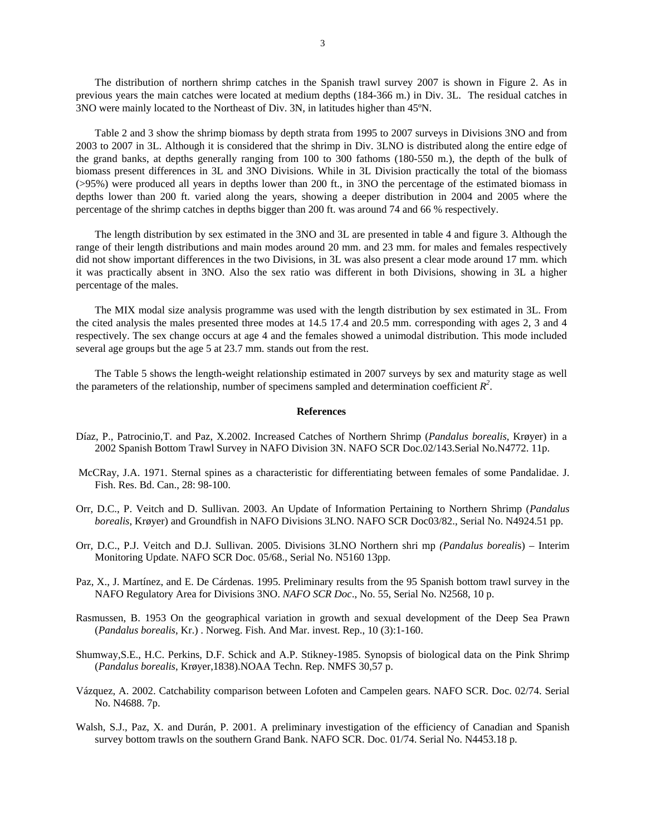The distribution of northern shrimp catches in the Spanish trawl survey 2007 is shown in Figure 2. As in previous years the main catches were located at medium depths (184-366 m.) in Div. 3L. The residual catches in 3NO were mainly located to the Northeast of Div. 3N, in latitudes higher than 45ºN.

Table 2 and 3 show the shrimp biomass by depth strata from 1995 to 2007 surveys in Divisions 3NO and from 2003 to 2007 in 3L. Although it is considered that the shrimp in Div. 3LNO is distributed along the entire edge of the grand banks, at depths generally ranging from 100 to 300 fathoms (180-550 m.), the depth of the bulk of biomass present differences in 3L and 3NO Divisions. While in 3L Division practically the total of the biomass (>95%) were produced all years in depths lower than 200 ft., in 3NO the percentage of the estimated biomass in depths lower than 200 ft. varied along the years, showing a deeper distribution in 2004 and 2005 where the percentage of the shrimp catches in depths bigger than 200 ft. was around 74 and 66 % respectively.

The length distribution by sex estimated in the 3NO and 3L are presented in table 4 and figure 3. Although the range of their length distributions and main modes around 20 mm. and 23 mm. for males and females respectively did not show important differences in the two Divisions, in 3L was also present a clear mode around 17 mm. which it was practically absent in 3NO. Also the sex ratio was different in both Divisions, showing in 3L a higher percentage of the males.

The MIX modal size analysis programme was used with the length distribution by sex estimated in 3L. From the cited analysis the males presented three modes at 14.5 17.4 and 20.5 mm. corresponding with ages 2, 3 and 4 respectively. The sex change occurs at age 4 and the females showed a unimodal distribution. This mode included several age groups but the age 5 at 23.7 mm. stands out from the rest.

The Table 5 shows the length-weight relationship estimated in 2007 surveys by sex and maturity stage as well the parameters of the relationship, number of specimens sampled and determination coefficient  $R^2$ .

## **References**

- Díaz, P., Patrocinio,T. and Paz, X.2002. Increased Catches of Northern Shrimp (*Pandalus borealis*, Krøyer) in a 2002 Spanish Bottom Trawl Survey in NAFO Division 3N. NAFO SCR Doc.02/143.Serial No.N4772. 11p.
- McCRay, J.A. 1971. Sternal spines as a characteristic for differentiating between females of some Pandalidae. J. Fish. Res. Bd. Can., 28: 98-100.
- Orr, D.C., P. Veitch and D. Sullivan. 2003. An Update of Information Pertaining to Northern Shrimp (*Pandalus borealis*, Krøyer) and Groundfish in NAFO Divisions 3LNO. NAFO SCR Doc03/82., Serial No. N4924.51 pp.
- Orr, D.C., P.J. Veitch and D.J. Sullivan. 2005. Divisions 3LNO Northern shri mp *(Pandalus boreali*s) Interim Monitoring Update. NAFO SCR Doc. 05/68., Serial No. N5160 13pp.
- Paz, X., J. Martínez, and E. De Cárdenas. 1995. Preliminary results from the 95 Spanish bottom trawl survey in the NAFO Regulatory Area for Divisions 3NO. *NAFO SCR Doc*., No. 55, Serial No. N2568, 10 p.
- Rasmussen, B. 1953 On the geographical variation in growth and sexual development of the Deep Sea Prawn (*Pandalus borealis*, Kr.) . Norweg. Fish. And Mar. invest. Rep., 10 (3):1-160.
- Shumway,S.E., H.C. Perkins, D.F. Schick and A.P. Stikney-1985. Synopsis of biological data on the Pink Shrimp (*Pandalus borealis*, Krøyer,1838).NOAA Techn. Rep. NMFS 30,57 p.
- Vázquez, A. 2002. Catchability comparison between Lofoten and Campelen gears. NAFO SCR. Doc. 02/74. Serial No. N4688. 7p.
- Walsh, S.J., Paz, X. and Durán, P. 2001. A preliminary investigation of the efficiency of Canadian and Spanish survey bottom trawls on the southern Grand Bank. NAFO SCR. Doc. 01/74. Serial No. N4453.18 p.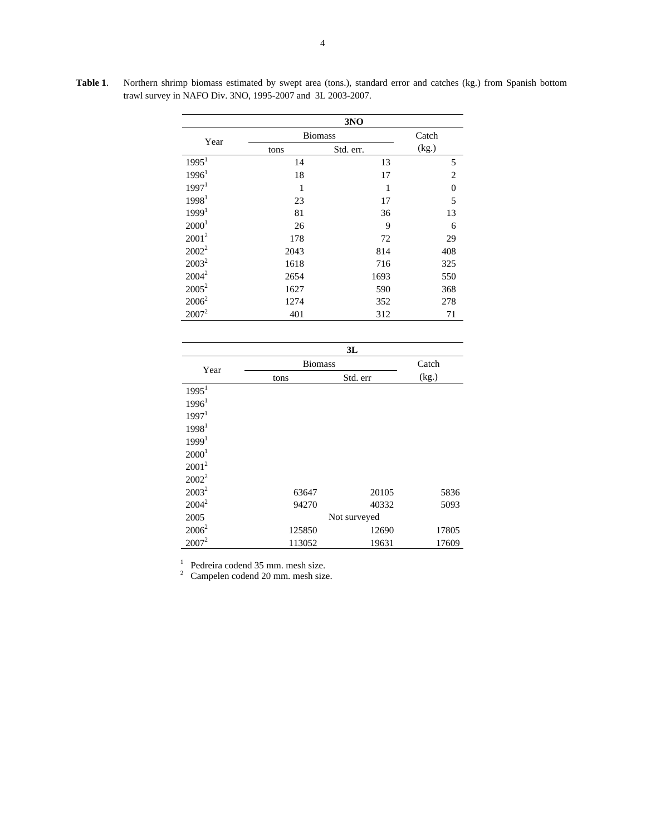|                   |                | 3NO       |                |
|-------------------|----------------|-----------|----------------|
| Year              | <b>Biomass</b> | Catch     |                |
|                   | tons           | Std. err. | (kg.)          |
| 1995 <sup>1</sup> | 14             | 13        | 5              |
| 1996 <sup>1</sup> | 18             | 17        | $\overline{2}$ |
| 1997 <sup>1</sup> | 1              | 1         | $\overline{0}$ |
| 1998 <sup>1</sup> | 23             | 17        | 5              |
| 1999 <sup>1</sup> | 81             | 36        | 13             |
| 2000 <sup>1</sup> | 26             | 9         | 6              |
| $2001^2$          | 178            | 72        | 29             |
| $2002^2$          | 2043           | 814       | 408            |
| $2003^2$          | 1618           | 716       | 325            |
| $2004^2$          | 2654           | 1693      | 550            |
| $2005^2$          | 1627           | 590       | 368            |
| $2006^2$          | 1274           | 352       | 278            |
| $2007^2$          | 401            | 312       | 71             |

**Table 1**. Northern shrimp biomass estimated by swept area (tons.), standard error and catches (kg.) from Spanish bottom trawl survey in NAFO Div. 3NO, 1995-2007 and 3L 2003-2007.

|                   | 3L               |              |       |  |  |  |  |  |  |
|-------------------|------------------|--------------|-------|--|--|--|--|--|--|
| Year              | <b>Biomass</b>   | Catch        |       |  |  |  |  |  |  |
|                   | Std. err<br>tons |              | (kg.) |  |  |  |  |  |  |
| 1995 <sup>1</sup> |                  |              |       |  |  |  |  |  |  |
| 1996 <sup>1</sup> |                  |              |       |  |  |  |  |  |  |
| 1997 <sup>1</sup> |                  |              |       |  |  |  |  |  |  |
| 1998 <sup>1</sup> |                  |              |       |  |  |  |  |  |  |
| 1999 <sup>1</sup> |                  |              |       |  |  |  |  |  |  |
| 2000 <sup>1</sup> |                  |              |       |  |  |  |  |  |  |
| $2001^2$          |                  |              |       |  |  |  |  |  |  |
| $2002^2$          |                  |              |       |  |  |  |  |  |  |
| $2003^2$          | 63647            | 20105        | 5836  |  |  |  |  |  |  |
| $2004^2$          | 94270            | 40332        | 5093  |  |  |  |  |  |  |
| 2005              |                  | Not surveyed |       |  |  |  |  |  |  |
| $2006^2$          | 125850           | 12690        | 17805 |  |  |  |  |  |  |
| $2007^2$          | 113052           | 19631        | 17609 |  |  |  |  |  |  |

<sup>1</sup> Pedreira codend 35 mm. mesh size.<br><sup>2</sup> Campelen codend 20 mm. mesh size.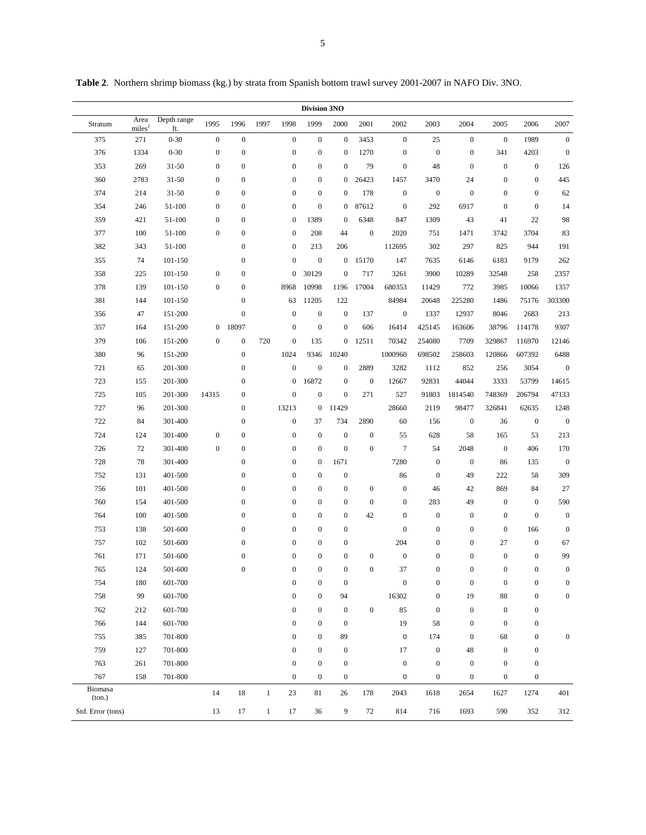| Division 3NO          |                            |                    |                  |                  |              |                  |                  |                  |                  |                  |                  |                  |                  |                  |                  |
|-----------------------|----------------------------|--------------------|------------------|------------------|--------------|------------------|------------------|------------------|------------------|------------------|------------------|------------------|------------------|------------------|------------------|
| Stratum               | Area<br>miles <sup>2</sup> | Depth range<br>ft. | 1995             | 1996             | 1997         | 1998             | 1999             | 2000             | 2001             | 2002             | 2003             | 2004             | 2005             | 2006             | 2007             |
| 375                   | 271                        | $0 - 30$           | $\mathbf{0}$     | $\boldsymbol{0}$ |              | $\boldsymbol{0}$ | $\mathbf{0}$     | $\mathbf{0}$     | 3453             | $\boldsymbol{0}$ | 25               | $\boldsymbol{0}$ | $\mathbf{0}$     | 1989             | $\mathbf{0}$     |
| 376                   | 1334                       | $0 - 30$           | $\mathbf{0}$     | $\boldsymbol{0}$ |              | $\boldsymbol{0}$ | $\boldsymbol{0}$ | $\boldsymbol{0}$ | 1270             | $\boldsymbol{0}$ | $\boldsymbol{0}$ | $\boldsymbol{0}$ | 341              | 4203             | $\boldsymbol{0}$ |
| 353                   | 269                        | $31 - 50$          | $\mathbf{0}$     | $\boldsymbol{0}$ |              | $\boldsymbol{0}$ | $\boldsymbol{0}$ | $\boldsymbol{0}$ | 79               | $\boldsymbol{0}$ | $\sqrt{48}$      | $\boldsymbol{0}$ | $\boldsymbol{0}$ | $\boldsymbol{0}$ | 126              |
| 360                   | 2783                       | $31 - 50$          | $\mathbf{0}$     | $\boldsymbol{0}$ |              | $\boldsymbol{0}$ | $\boldsymbol{0}$ | $\boldsymbol{0}$ | 26423            | 1457             | 3470             | 24               | $\boldsymbol{0}$ | $\boldsymbol{0}$ | 445              |
| 374                   | 214                        | $31 - 50$          | $\boldsymbol{0}$ | $\boldsymbol{0}$ |              | $\boldsymbol{0}$ | $\boldsymbol{0}$ | $\mathbf{0}$     | 178              | $\boldsymbol{0}$ | $\boldsymbol{0}$ | $\boldsymbol{0}$ | $\boldsymbol{0}$ | $\mathbf{0}$     | 62               |
| 354                   | 246                        | 51-100             | $\mathbf{0}$     | $\boldsymbol{0}$ |              | $\boldsymbol{0}$ | $\boldsymbol{0}$ | $\boldsymbol{0}$ | 87612            | $\mathbf{0}$     | 292              | 6917             | $\boldsymbol{0}$ | $\boldsymbol{0}$ | 14               |
| 359                   | 421                        | 51-100             | $\boldsymbol{0}$ | $\boldsymbol{0}$ |              | $\boldsymbol{0}$ | 1389             | $\boldsymbol{0}$ | 6348             | 847              | 1309             | 43               | 41               | 22               | 98               |
| 377                   | 100                        | 51-100             | $\mathbf{0}$     | $\boldsymbol{0}$ |              | $\boldsymbol{0}$ | 208              | 44               | $\mathbf{0}$     | 2020             | 751              | 1471             | 3742             | 3704             | 83               |
| 382                   | 343                        | 51-100             |                  | $\boldsymbol{0}$ |              | $\boldsymbol{0}$ | 213              | 206              |                  | 112695           | 302              | 297              | 825              | 944              | 191              |
| 355                   | 74                         | 101-150            |                  | $\boldsymbol{0}$ |              | $\boldsymbol{0}$ | $\mathbf{0}$     | $\mathbf{0}$     | 15170            | 147              | 7635             | 6146             | 6183             | 9179             | 262              |
| 358                   | 225                        | 101-150            | $\boldsymbol{0}$ | $\boldsymbol{0}$ |              | $\mathbf{0}$     | 30129            | $\boldsymbol{0}$ | 717              | 3261             | 3900             | 10289            | 32548            | 258              | 2357             |
| 378                   | 139                        | 101-150            | $\mathbf{0}$     | $\boldsymbol{0}$ |              | 8968             | 10998            | 1196             | 17004            | 680353           | 11429            | 772              | 3985             | 10066            | 1357             |
| 381                   | 144                        | 101-150            |                  | $\boldsymbol{0}$ |              | 63               | 11205            | 122              |                  | 84984            | 20648            | 225280           | 1486             | 75176            | 303300           |
| 356                   | 47                         | 151-200            |                  | $\boldsymbol{0}$ |              | $\boldsymbol{0}$ | $\boldsymbol{0}$ | $\boldsymbol{0}$ | 137              | $\boldsymbol{0}$ | 1337             | 12937            | 8046             | 2683             | 213              |
| 357                   | 164                        | 151-200            | $\boldsymbol{0}$ | 18097            |              | $\boldsymbol{0}$ | $\boldsymbol{0}$ | $\boldsymbol{0}$ | 606              | 16414            | 425145           | 163606           | 38796            | 114178           | 9307             |
| 379                   | 106                        | 151-200            | $\boldsymbol{0}$ | $\boldsymbol{0}$ | 720          | $\boldsymbol{0}$ | 135              | $\boldsymbol{0}$ | 12511            | 70342            | 254080           | 7709             | 329867           | 116970           | 12146            |
| 380                   | 96                         | 151-200            |                  | $\boldsymbol{0}$ |              | 1024             | 9346             | 10240            |                  | 1000960          | 698502           | 258603           | 120866           | 607392           | 6488             |
| 721                   | 65                         | 201-300            |                  | $\boldsymbol{0}$ |              | $\boldsymbol{0}$ | $\mathbf{0}$     | $\boldsymbol{0}$ | 2889             | 3282             | 1112             | 852              | 256              | 3054             | $\mathbf{0}$     |
| 723                   | 155                        | 201-300            |                  | $\boldsymbol{0}$ |              | $\boldsymbol{0}$ | 16872            | $\boldsymbol{0}$ | $\boldsymbol{0}$ | 12667            | 92831            | 44044            | 3333             | 53799            | 14615            |
| 725                   | 105                        | 201-300            | 14315            | $\boldsymbol{0}$ |              | $\boldsymbol{0}$ | $\boldsymbol{0}$ | $\boldsymbol{0}$ | 271              | 527              | 91803            | 1814540          | 748369           | 206794           | 47133            |
| 727                   | 96                         | 201-300            |                  | $\boldsymbol{0}$ |              | 13213            | $\mathbf{0}$     | 11429            |                  | 28660            | 2119             | 98477            | 326841           | 62635            | 1248             |
| 722                   | 84                         | 301-400            |                  | $\boldsymbol{0}$ |              | $\boldsymbol{0}$ | 37               | 734              | 2890             | 60               | 156              | $\mathbf{0}$     | 36               | $\mathbf{0}$     | $\boldsymbol{0}$ |
| 724                   | 124                        | 301-400            | $\boldsymbol{0}$ | $\boldsymbol{0}$ |              | $\boldsymbol{0}$ | $\boldsymbol{0}$ | $\boldsymbol{0}$ | $\boldsymbol{0}$ | 55               | 628              | 58               | 165              | 53               | 213              |
| 726                   | 72                         | 301-400            | $\mathbf{0}$     | $\boldsymbol{0}$ |              | $\boldsymbol{0}$ | $\boldsymbol{0}$ | $\boldsymbol{0}$ | $\mathbf{0}$     | $\overline{7}$   | 54               | 2048             | $\boldsymbol{0}$ | 406              | 170              |
| 728                   | 78                         | 301-400            |                  | $\boldsymbol{0}$ |              | $\boldsymbol{0}$ | $\boldsymbol{0}$ | 1671             |                  | 7280             | $\boldsymbol{0}$ | $\boldsymbol{0}$ | 86               | 135              | $\mathbf{0}$     |
| 752                   | 131                        | 401-500            |                  | $\boldsymbol{0}$ |              | $\boldsymbol{0}$ | $\boldsymbol{0}$ | $\boldsymbol{0}$ |                  | 86               | $\boldsymbol{0}$ | 49               | 222              | 58               | 309              |
| 756                   | 101                        | 401-500            |                  | $\boldsymbol{0}$ |              | $\boldsymbol{0}$ | $\boldsymbol{0}$ | $\boldsymbol{0}$ | $\mathbf{0}$     | $\boldsymbol{0}$ | 46               | 42               | 869              | 84               | 27               |
| 760                   | 154                        | 401-500            |                  | $\boldsymbol{0}$ |              | $\boldsymbol{0}$ | $\boldsymbol{0}$ | $\boldsymbol{0}$ | $\boldsymbol{0}$ | $\boldsymbol{0}$ | 283              | 49               | $\mathbf{0}$     | $\boldsymbol{0}$ | 590              |
| 764                   | 100                        | 401-500            |                  | $\boldsymbol{0}$ |              | $\boldsymbol{0}$ | $\boldsymbol{0}$ | $\boldsymbol{0}$ | 42               | $\boldsymbol{0}$ | $\boldsymbol{0}$ | $\boldsymbol{0}$ | $\mathbf{0}$     | $\boldsymbol{0}$ | $\boldsymbol{0}$ |
| 753                   | 138                        | 501-600            |                  | $\boldsymbol{0}$ |              | $\mathbf{0}$     | $\boldsymbol{0}$ | $\boldsymbol{0}$ |                  | $\boldsymbol{0}$ | $\boldsymbol{0}$ | $\boldsymbol{0}$ | $\boldsymbol{0}$ | 166              | $\boldsymbol{0}$ |
| 757                   | 102                        | 501-600            |                  | $\boldsymbol{0}$ |              | $\boldsymbol{0}$ | $\boldsymbol{0}$ | $\boldsymbol{0}$ |                  | 204              | $\boldsymbol{0}$ | $\boldsymbol{0}$ | 27               | $\boldsymbol{0}$ | 67               |
| 761                   | 171                        | 501-600            |                  | $\boldsymbol{0}$ |              | $\boldsymbol{0}$ | $\boldsymbol{0}$ | $\boldsymbol{0}$ | $\boldsymbol{0}$ | $\boldsymbol{0}$ | $\boldsymbol{0}$ | $\boldsymbol{0}$ | $\boldsymbol{0}$ | $\boldsymbol{0}$ | 99               |
| 765                   | 124                        | 501-600            |                  | $\boldsymbol{0}$ |              | $\overline{0}$   | $\mathbf{0}$     | $\boldsymbol{0}$ | $\mathbf{0}$     | 37               | $\boldsymbol{0}$ | $\boldsymbol{0}$ | $\overline{0}$   | $\boldsymbol{0}$ | $\theta$         |
| 754                   | 180                        | 601-700            |                  |                  |              | $\boldsymbol{0}$ | $\mathbf{0}$     | $\boldsymbol{0}$ |                  | $\boldsymbol{0}$ | $\boldsymbol{0}$ | $\boldsymbol{0}$ | $\mathbf{0}$     | $\boldsymbol{0}$ | $\boldsymbol{0}$ |
| 758                   | 99                         | 601-700            |                  |                  |              | $\boldsymbol{0}$ | $\boldsymbol{0}$ | 94               |                  | 16302            | $\boldsymbol{0}$ | 19               | 88               | $\boldsymbol{0}$ | $\boldsymbol{0}$ |
| 762                   | 212                        | 601-700            |                  |                  |              | $\boldsymbol{0}$ | $\boldsymbol{0}$ | $\boldsymbol{0}$ | $\boldsymbol{0}$ | 85               | $\boldsymbol{0}$ | $\boldsymbol{0}$ | $\mathbf{0}$     | $\boldsymbol{0}$ |                  |
| 766                   | 144                        | 601-700            |                  |                  |              | $\mathbf{0}$     | $\boldsymbol{0}$ | $\boldsymbol{0}$ |                  | 19               | 58               | $\boldsymbol{0}$ | $\mathbf{0}$     | $\boldsymbol{0}$ |                  |
| 755                   | 385                        | 701-800            |                  |                  |              | $\mathbf{0}$     | $\mathbf{0}$     | 89               |                  | $\boldsymbol{0}$ | 174              | $\boldsymbol{0}$ | 68               | $\boldsymbol{0}$ | $\boldsymbol{0}$ |
| 759                   | 127                        | 701-800            |                  |                  |              | $\mathbf{0}$     | $\boldsymbol{0}$ | $\boldsymbol{0}$ |                  | 17               | $\boldsymbol{0}$ | 48               | $\boldsymbol{0}$ | $\boldsymbol{0}$ |                  |
| 763                   | 261                        | 701-800            |                  |                  |              | $\mathbf{0}$     | $\mathbf{0}$     | $\boldsymbol{0}$ |                  | $\boldsymbol{0}$ | $\boldsymbol{0}$ | $\boldsymbol{0}$ | $\boldsymbol{0}$ | $\boldsymbol{0}$ |                  |
| 767<br><b>Biomasa</b> | 158                        | 701-800            |                  |                  |              | $\boldsymbol{0}$ | $\boldsymbol{0}$ | $\boldsymbol{0}$ |                  | $\boldsymbol{0}$ | $\boldsymbol{0}$ | $\boldsymbol{0}$ | $\boldsymbol{0}$ | $\boldsymbol{0}$ |                  |
| (ton.)                |                            |                    | 14               | 18               | $\mathbf{1}$ | 23               | 81               | 26               | 178              | 2043             | 1618             | 2654             | 1627             | 1274             | 401              |
| Std. Error (tons)     |                            |                    | 13               | 17               | $\mathbf{1}$ | 17               | 36               | 9                | 72               | 814              | 716              | 1693             | 590              | 352              | 312              |

**Table 2**. Northern shrimp biomass (kg.) by strata from Spanish bottom trawl survey 2001-2007 in NAFO Div. 3NO.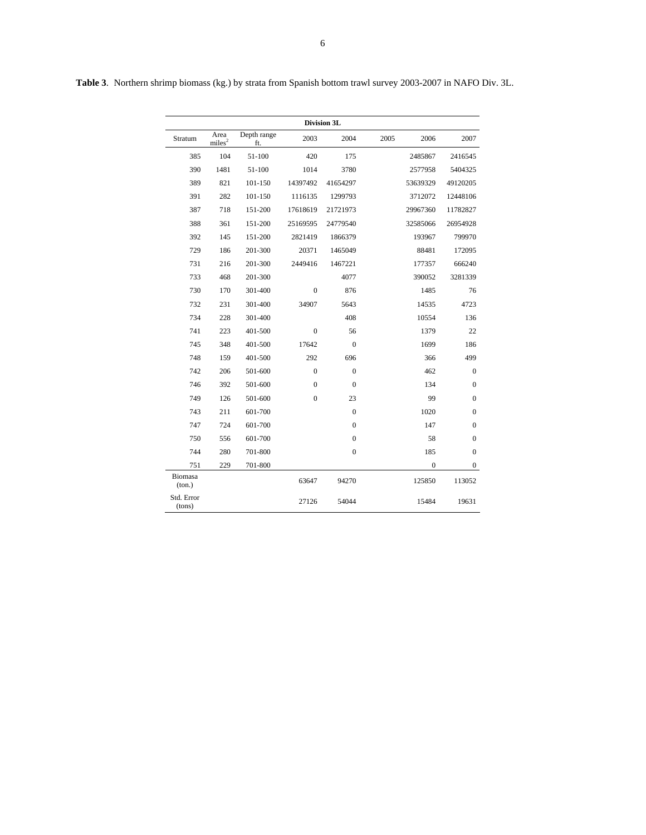| Division 3L          |                            |                    |                |                  |                |                |  |  |  |  |
|----------------------|----------------------------|--------------------|----------------|------------------|----------------|----------------|--|--|--|--|
| Stratum              | Area<br>$\mathrm{miles}^2$ | Depth range<br>ft. | 2003           | 2004             | 2005<br>2006   | 2007           |  |  |  |  |
| 385                  | 104                        | 51-100             | 420            | 175              | 2485867        | 2416545        |  |  |  |  |
| 390                  | 1481                       | 51-100             | 1014           | 3780             | 2577958        | 5404325        |  |  |  |  |
| 389                  | 821                        | 101-150            | 14397492       | 41654297         | 53639329       | 49120205       |  |  |  |  |
| 391                  | 282                        | 101-150            | 1116135        | 1299793          | 3712072        | 12448106       |  |  |  |  |
| 387                  | 718                        | 151-200            | 17618619       | 21721973         | 29967360       | 11782827       |  |  |  |  |
| 388                  | 361                        | 151-200            | 25169595       | 24779540         | 32585066       | 26954928       |  |  |  |  |
| 392                  | 145                        | 151-200            | 2821419        | 1866379          | 193967         | 799970         |  |  |  |  |
| 729                  | 186                        | 201-300            | 20371          | 1465049          | 88481          | 172095         |  |  |  |  |
| 731                  | 216                        | 201-300            | 2449416        | 1467221          | 177357         | 666240         |  |  |  |  |
| 733                  | 468                        | 201-300            |                | 4077             | 390052         | 3281339        |  |  |  |  |
| 730                  | 170                        | 301-400            | $\overline{0}$ | 876              | 1485           | 76             |  |  |  |  |
| 732                  | 231                        | 301-400            | 34907          | 5643             | 14535          | 4723           |  |  |  |  |
| 734                  | 228                        | 301-400            |                | 408              | 10554          | 136            |  |  |  |  |
| 741                  | 223                        | 401-500            | $\theta$       | 56               | 1379           | 22             |  |  |  |  |
| 745                  | 348                        | 401-500            | 17642          | $\mathbf{0}$     | 1699           | 186            |  |  |  |  |
| 748                  | 159                        | 401-500            | 292            | 696              | 366            | 499            |  |  |  |  |
| 742                  | 206                        | 501-600            | $\overline{0}$ | $\overline{0}$   | 462            | $\overline{0}$ |  |  |  |  |
| 746                  | 392                        | 501-600            | $\mathbf{0}$   | $\mathbf{0}$     | 134            | $\mathbf{0}$   |  |  |  |  |
| 749                  | 126                        | 501-600            | $\Omega$       | 23               | 99             | $\overline{0}$ |  |  |  |  |
| 743                  | 211                        | 601-700            |                | $\overline{0}$   | 1020           | $\overline{0}$ |  |  |  |  |
| 747                  | 724                        | 601-700            |                | $\mathbf{0}$     | 147            | $\overline{0}$ |  |  |  |  |
| 750                  | 556                        | 601-700            |                | $\mathbf{0}$     | 58             | $\overline{0}$ |  |  |  |  |
| 744                  | 280                        | 701-800            |                | $\boldsymbol{0}$ | 185            | $\overline{0}$ |  |  |  |  |
| 751                  | 229                        | 701-800            |                |                  | $\overline{0}$ | $\overline{0}$ |  |  |  |  |
| Biomasa<br>(ton.)    |                            |                    | 63647          | 94270            | 125850         | 113052         |  |  |  |  |
| Std. Error<br>(tons) |                            |                    | 27126          | 54044            | 15484          | 19631          |  |  |  |  |

**Table 3**. Northern shrimp biomass (kg.) by strata from Spanish bottom trawl survey 2003-2007 in NAFO Div. 3L.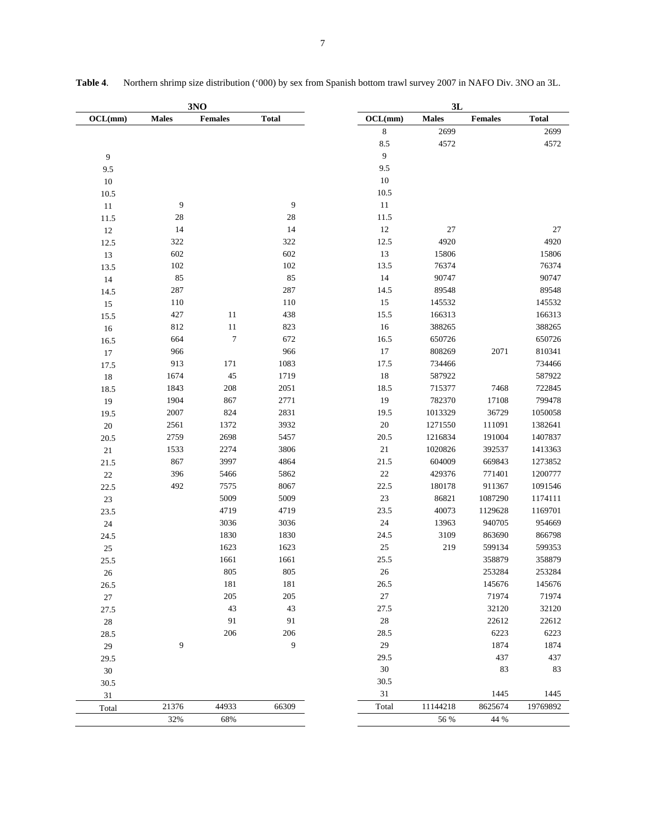|                  | 3NO          |                  |                | 3L             |               |                  |                  |
|------------------|--------------|------------------|----------------|----------------|---------------|------------------|------------------|
| OCL(mm)          | <b>Males</b> | <b>Females</b>   | <b>Total</b>   | OCL(mm)        | <b>Males</b>  | <b>Females</b>   | <b>Total</b>     |
|                  |              |                  |                | $\,8\,$        | 2699          |                  | 2699             |
|                  |              |                  |                | 8.5            | 4572          |                  | 4572             |
| $\boldsymbol{9}$ |              |                  |                | $\overline{9}$ |               |                  |                  |
| 9.5              |              |                  |                | 9.5            |               |                  |                  |
| $10\,$           |              |                  |                | $10\,$         |               |                  |                  |
| 10.5             |              |                  |                | 10.5           |               |                  |                  |
| $11\,$           | 9            |                  | 9              | 11             |               |                  |                  |
| 11.5             | 28           |                  | 28             | 11.5           |               |                  |                  |
| $12\,$           | 14           |                  | 14             | $12\,$         | $27\,$        |                  | 27               |
| 12.5             | 322          |                  | 322            | 12.5           | 4920          |                  | 4920             |
| 13               | 602          |                  | 602            | 13             | 15806         |                  | 15806            |
| 13.5             | 102          |                  | $102\,$        | 13.5           | 76374         |                  | 76374            |
| $14\,$           | 85           |                  | 85             | 14             | 90747         |                  | 90747            |
| 14.5             | 287          |                  | 287            | 14.5           | 89548         |                  | 89548            |
| $15\,$           | 110          |                  | 110            | 15             | 145532        |                  | 145532           |
| 15.5             | 427          | 11               | 438            | 15.5           | 166313        |                  | 166313           |
| 16               | 812          | $11\,$           | 823            | 16             | 388265        |                  | 388265           |
| 16.5             | 664          | $\boldsymbol{7}$ | 672            | 16.5           | 650726        |                  | 650726           |
| $17\,$           | 966          |                  | 966            | 17             | 808269        | 2071             | 810341           |
| 17.5             | 913          | 171              | 1083           | 17.5           | 734466        |                  | 734466           |
| 18               | 1674         | $45\,$           | 1719           | 18             | 587922        |                  | 587922           |
| 18.5             | 1843         | 208              | 2051           | 18.5           | 715377        | 7468             | 722845           |
| 19               | 1904         | 867              | 2771           | 19             | 782370        | 17108            | 799478           |
| 19.5             | 2007         | 824              | 2831           | 19.5           | 1013329       | 36729            | 1050058          |
| $20\,$           | 2561         | 1372             | 3932           | $20\,$         | 1271550       | 111091           | 1382641          |
|                  | 2759         | 2698             | 5457           | 20.5           | 1216834       | 191004           | 1407837          |
| 20.5<br>$21\,$   | 1533         | 2274             | 3806           | $21\,$         | 1020826       | 392537           | 1413363          |
|                  | 867          | 3997             | 4864           | 21.5           | 604009        | 669843           | 1273852          |
| 21.5<br>$22\,$   | 396          | 5466             | 5862           | $22\,$         | 429376        | 771401           | 1200777          |
|                  | 492          | 7575             | 8067           | 22.5           | 180178        | 911367           | 1091546          |
| 22.5             |              | 5009             | 5009           | $23\,$         | 86821         | 1087290          | 1174111          |
| $23\,$           |              |                  | 4719           | 23.5           |               |                  |                  |
| 23.5             |              | 4719             |                | $24\,$         | 40073         | 1129628          | 1169701          |
| $24\,$           |              | 3036             | 3036           |                | 13963<br>3109 | 940705           | 954669           |
| 24.5             |              | 1830<br>1623     | 1830<br>1623   | 24.5<br>$25\,$ | 219           | 863690<br>599134 | 866798<br>599353 |
| $25\,$           |              | 1661             | 1661           | 25.5           |               | 358879           | 358879           |
| 25.5             |              | 805              | 805            | 26             |               | 253284           | 253284           |
| $26\,$           |              |                  |                |                |               |                  | 145676           |
| 26.5             |              | 181<br>205       | 181<br>$205\,$ | 26.5<br>$27\,$ |               | 145676<br>71974  | 71974            |
| $27\,$           |              | 43               |                |                |               |                  |                  |
| 27.5             |              |                  | 43             | 27.5           |               | 32120            | 32120            |
| 28               |              | 91               | 91             | $28\,$         |               | 22612            | 22612            |
| 28.5             |              | 206              | 206            | 28.5           |               | 6223             | 6223             |
| 29               | 9            |                  | 9              | 29             |               | 1874             | 1874             |
| 29.5             |              |                  |                | 29.5           |               | 437              | 437              |
| 30               |              |                  |                | $30\,$         |               | 83               | 83               |
| 30.5             |              |                  |                | 30.5           |               |                  |                  |
| 31               |              |                  |                | 31             |               | 1445             | 1445             |
| Total            | 21376        | 44933            | 66309          | Total          | 11144218      | 8625674          | 19769892         |
|                  | 32%          | 68%              |                |                | 56 %          | 44 %             |                  |

**Table 4**. Northern shrimp size distribution ('000) by sex from Spanish bottom trawl survey 2007 in NAFO Div. 3NO an 3L.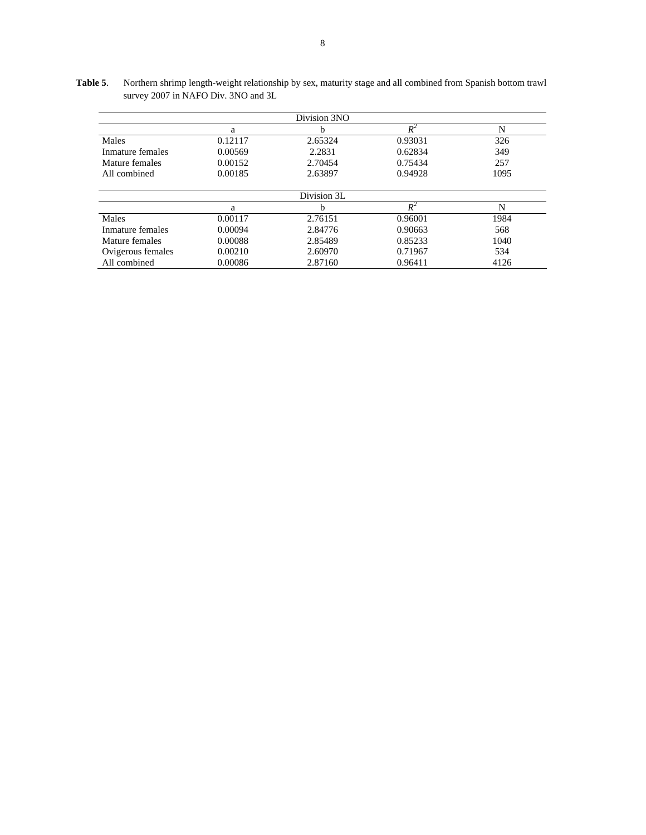|                   |         | Division 3NO |         |      |
|-------------------|---------|--------------|---------|------|
|                   | a       | h            | $R^2$   | N    |
| Males             | 0.12117 | 2.65324      | 0.93031 | 326  |
| Inmature females  | 0.00569 | 2.2831       | 0.62834 | 349  |
| Mature females    | 0.00152 | 2.70454      | 0.75434 | 257  |
| All combined      | 0.00185 | 2.63897      | 0.94928 | 1095 |
|                   |         |              |         |      |
|                   |         | Division 3L  |         |      |
|                   | a       | h            | $R^2$   | N    |
| Males             | 0.00117 | 2.76151      | 0.96001 | 1984 |
| Inmature females  | 0.00094 | 2.84776      | 0.90663 | 568  |
| Mature females    | 0.00088 | 2.85489      | 0.85233 | 1040 |
| Ovigerous females | 0.00210 | 2.60970      | 0.71967 | 534  |
| All combined      | 0.00086 | 2.87160      | 0.96411 | 4126 |

**Table 5**. Northern shrimp length-weight relationship by sex, maturity stage and all combined from Spanish bottom trawl survey 2007 in NAFO Div. 3NO and 3L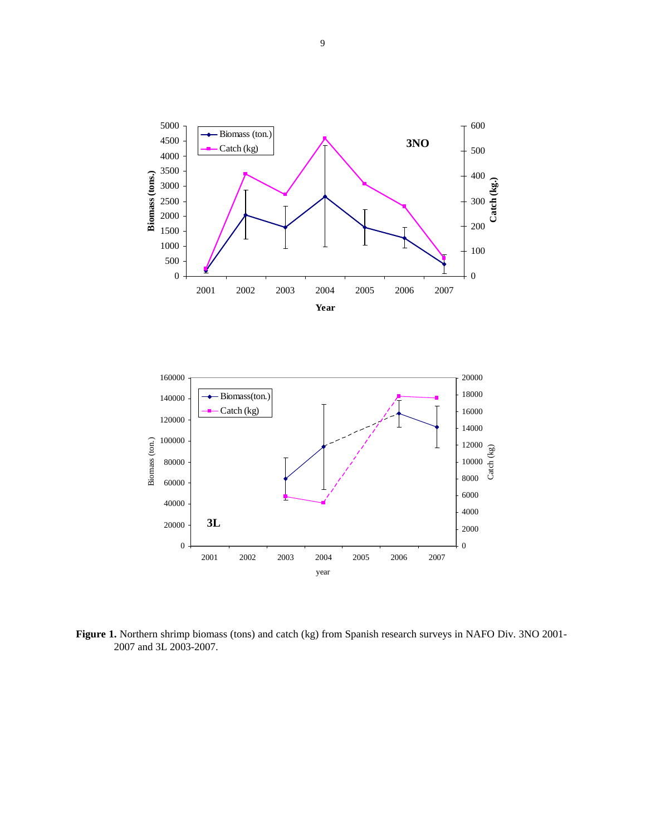

**Figure 1.** Northern shrimp biomass (tons) and catch (kg) from Spanish research surveys in NAFO Div. 3NO 2001- 2007 and 3L 2003-2007.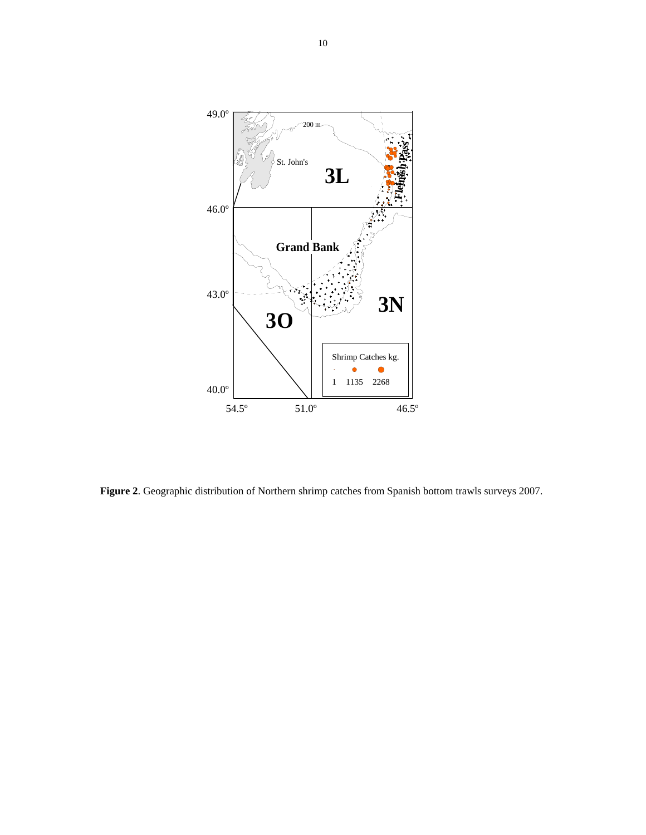

**Figure 2**. Geographic distribution of Northern shrimp catches from Spanish bottom trawls surveys 2007.